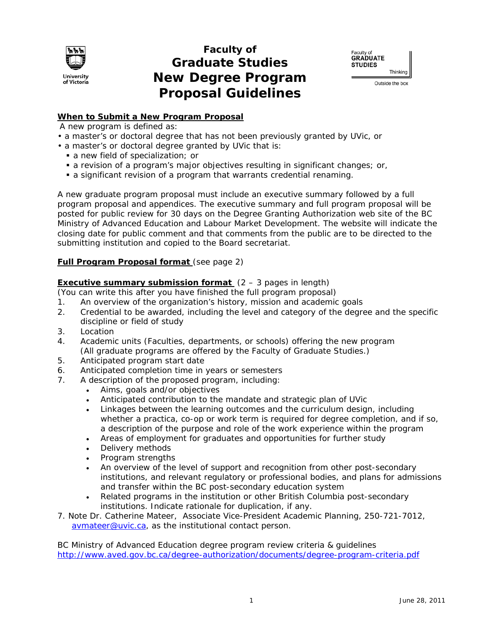

## **Faculty of Graduate Studies New Degree Program Proposal Guidelines**



Outside the box

## **When to Submit a New Program Proposal**

A new program is defined as:

- a master's or doctoral degree that has not been previously granted by UVic, or
- a master's or doctoral degree granted by UVic that is:
	- a new field of specialization; or
	- a revision of a program's major objectives resulting in significant changes; or,
	- a significant revision of a program that warrants credential renaming.

A new graduate program proposal must include an executive summary followed by a full program proposal and appendices. The executive summary and full program proposal will be posted for public review for 30 days on the Degree Granting Authorization web site of the BC Ministry of Advanced Education and Labour Market Development. The website will indicate the closing date for public comment and that comments from the public are to be directed to the submitting institution and copied to the Board secretariat.

## **Full Program Proposal format** (see page 2)

## **Executive summary submission format**  $(2 - 3$  pages in length)

(You can write this after you have finished the full program proposal)

- 1. An overview of the organization's history, mission and academic goals
- 2. Credential to be awarded, including the level and category of the degree and the specific discipline or field of study
- 3. Location
- 4. Academic units (Faculties, departments, or schools) offering the new program (All graduate programs are offered by the Faculty of Graduate Studies.)
- 5. Anticipated program start date
- 6. Anticipated completion time in years or semesters
- 7. A description of the proposed program, including:
	- Aims, goals and/or objectives
	- Anticipated contribution to the mandate and strategic plan of UVic
	- Linkages between the learning outcomes and the curriculum design, including whether a practica, co-op or work term is required for degree completion, and if so, a description of the purpose and role of the work experience within the program
	- Areas of employment for graduates and opportunities for further study
	- Delivery methods
	- Program strengths
	- An overview of the level of support and recognition from other post-secondary institutions, and relevant regulatory or professional bodies, and plans for admissions and transfer within the BC post-secondary education system
	- Related programs in the institution or other British Columbia post-secondary institutions. Indicate rationale for duplication, if any.
- 7. Note Dr. Catherine Mateer, Associate Vice-President Academic Planning, 250-721-7012, avmateer@uvic.ca, as the institutional contact person.

BC Ministry of Advanced Education degree program review criteria & guidelines http://www.aved.gov.bc.ca/degree-authorization/documents/degree-program-criteria.pdf